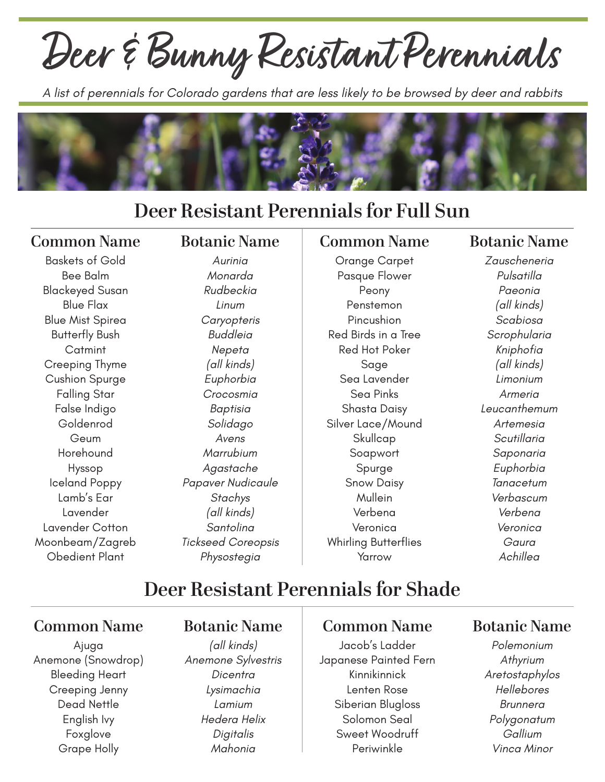# **Deer & Bunny Resistant Perennials**

*A list of perennials for Colorado gardens that are less likely to be browsed by deer and rabbits*



# **Deer Resistant Perennials for Full Sun**

#### **Common Name**

Baskets of Gold Bee Balm Blackeyed Susan Blue Flax Blue Mist Spirea Butterfly Bush Catmint Creeping Thyme Cushion Spurge Falling Star False Indigo Goldenrod Geum Horehound Hyssop Iceland Poppy Lamb's Ear Lavender Lavender Cotton Moonbeam/Zagreb Obedient Plant

#### **Botanic Name**

*Aurinia Monarda Rudbeckia Linum Caryopteris Buddleia Nepeta (all kinds) Euphorbia Crocosmia Baptisia Solidago Avens Marrubium Agastache Papaver Nudicaule Stachys (all kinds) Santolina Tickseed Coreopsis Physostegia*

#### **Common Name**

Orange Carpet Pasque Flower Peony Penstemon Pincushion Red Birds in a Tree Red Hot Poker Sage Sea Lavender Sea Pinks Shasta Daisy Silver Lace/Mound **Skullcap** Soapwort Spurge Snow Daisy Mullein Verbena Veronica Whirling Butterflies Yarrow

#### **Botanic Name**

*Zauscheneria Pulsatilla Paeonia (all kinds) Scabiosa Scrophularia Kniphofia (all kinds) Limonium Armeria Leucanthemum Artemesia Scutillaria Saponaria Euphorbia Tanacetum Verbascum Verbena Veronica Gaura Achillea*

# **Deer Resistant Perennials for Shade**

#### **Common Name**

Ajuga Anemone (Snowdrop) Bleeding Heart Creeping Jenny Dead Nettle English Ivy Foxglove Grape Holly

#### **Botanic Name**

*(all kinds) Anemone Sylvestris Dicentra Lysimachia Lamium Hedera Helix Digitalis Mahonia*

#### **Common Name**

Jacob's Ladder Japanese Painted Fern Kinnikinnick Lenten Rose Siberian Blugloss Solomon Seal Sweet Woodruff Periwinkle

#### **Botanic Name**

*Polemonium Athyrium Aretostaphylos Hellebores Brunnera Polygonatum Gallium Vinca Minor*